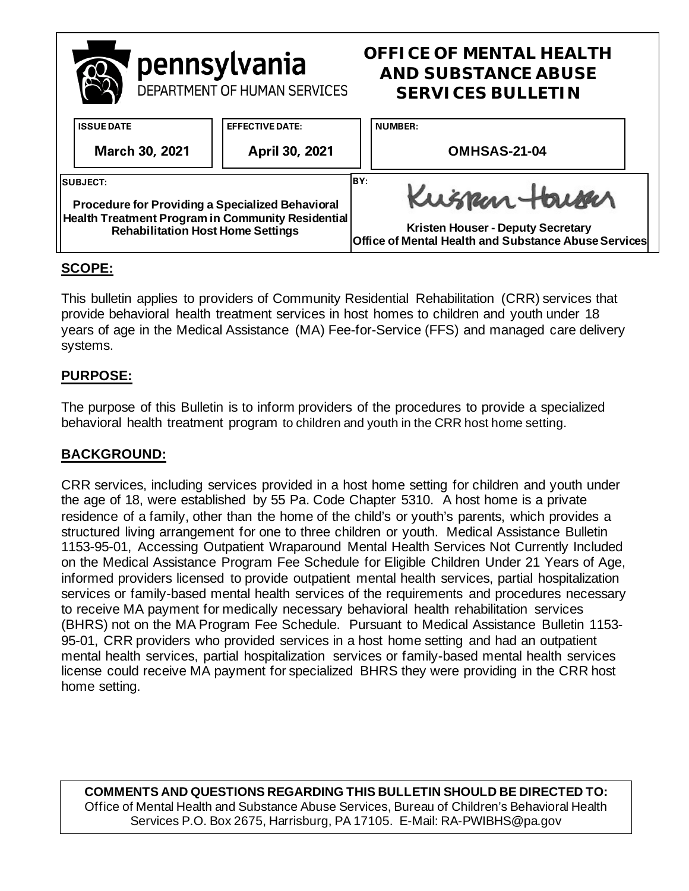|                                                                                               | pennsylvania<br>DEPARTMENT OF HUMAN SERVICES |                        | <b>OFFICE OF MENTAL HEALTH</b><br><b>AND SUBSTANCE ABUSE</b><br><b>SERVICES BULLETIN</b> |                                                                                                  |  |
|-----------------------------------------------------------------------------------------------|----------------------------------------------|------------------------|------------------------------------------------------------------------------------------|--------------------------------------------------------------------------------------------------|--|
|                                                                                               | <b>ISSUE DATE</b>                            | <b>EFFECTIVE DATE:</b> |                                                                                          | <b>NUMBER:</b>                                                                                   |  |
|                                                                                               | <b>March 30, 2021</b>                        | April 30, 2021         |                                                                                          | OMHSAS-21-04                                                                                     |  |
| <b>SUBJECT:</b><br><b>Procedure for Providing a Specialized Behavioral</b>                    |                                              |                        | IBY:                                                                                     | Kuspan Harser                                                                                    |  |
| Health Treatment Program in Community Residential<br><b>Rehabilitation Host Home Settings</b> |                                              |                        |                                                                                          | <b>Kristen Houser - Deputy Secretary</b><br>Office of Mental Health and Substance Abuse Services |  |

# **SCOPE:**

This bulletin applies to providers of Community Residential Rehabilitation (CRR) services that provide behavioral health treatment services in host homes to children and youth under 18 years of age in the Medical Assistance (MA) Fee-for-Service (FFS) and managed care delivery systems.

# **PURPOSE:**

The purpose of this Bulletin is to inform providers of the procedures to provide a specialized behavioral health treatment program to children and youth in the CRR host home setting.

### **BACKGROUND:**

CRR services, including services provided in a host home setting for children and youth under the age of 18, were established by 55 Pa. Code Chapter 5310. A host home is a private residence of a family, other than the home of the child's or youth's parents, which provides a structured living arrangement for one to three children or youth. Medical Assistance Bulletin 1153-95-01, Accessing Outpatient Wraparound Mental Health Services Not Currently Included on the Medical Assistance Program Fee Schedule for Eligible Children Under 21 Years of Age, informed providers licensed to provide outpatient mental health services, partial hospitalization services or family-based mental health services of the requirements and procedures necessary to receive MA payment for medically necessary behavioral health rehabilitation services (BHRS) not on the MA Program Fee Schedule. Pursuant to Medical Assistance Bulletin 1153- 95-01, CRR providers who provided services in a host home setting and had an outpatient mental health services, partial hospitalization services or family-based mental health services license could receive MA payment for specialized BHRS they were providing in the CRR host home setting.

**COMMENTS AND QUESTIONS REGARDING THIS BULLETIN SHOULD BE DIRECTED TO:**  Office of Mental Health and Substance Abuse Services, Bureau of Children's Behavioral Health Services P.O. Box 2675, Harrisburg, PA 17105. E-Mail: RA-PWIBHS@pa.gov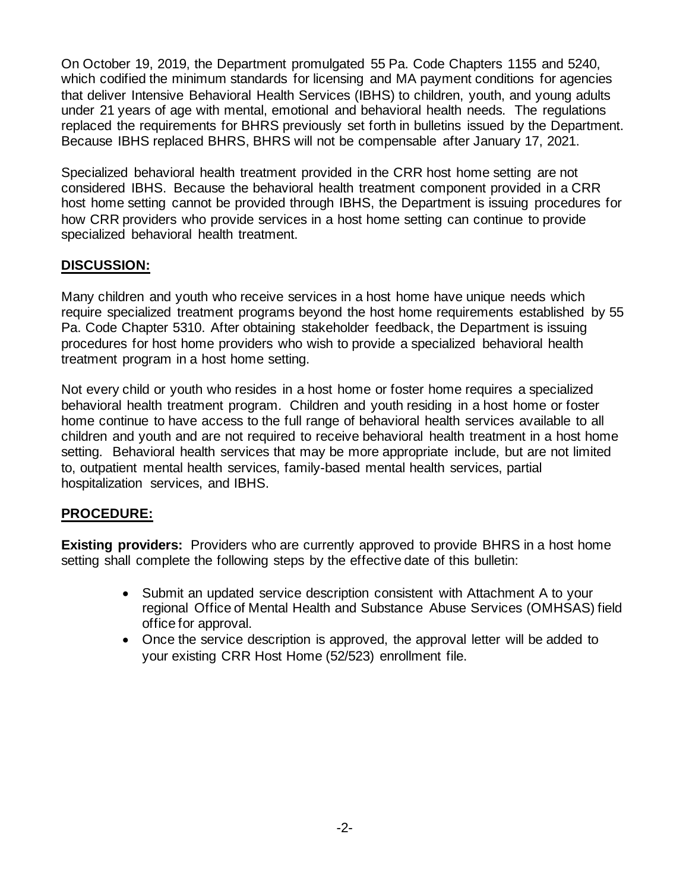On October 19, 2019, the Department promulgated 55 Pa. Code Chapters 1155 and 5240, which codified the minimum standards for licensing and MA payment conditions for agencies that deliver Intensive Behavioral Health Services (IBHS) to children, youth, and young adults under 21 years of age with mental, emotional and behavioral health needs. The regulations replaced the requirements for BHRS previously set forth in bulletins issued by the Department. Because IBHS replaced BHRS, BHRS will not be compensable after January 17, 2021.

Specialized behavioral health treatment provided in the CRR host home setting are not considered IBHS. Because the behavioral health treatment component provided in a CRR host home setting cannot be provided through IBHS, the Department is issuing procedures for how CRR providers who provide services in a host home setting can continue to provide specialized behavioral health treatment.

## **DISCUSSION:**

Many children and youth who receive services in a host home have unique needs which require specialized treatment programs beyond the host home requirements established by 55 Pa. Code Chapter 5310. After obtaining stakeholder feedback, the Department is issuing procedures for host home providers who wish to provide a specialized behavioral health treatment program in a host home setting.

Not every child or youth who resides in a host home or foster home requires a specialized behavioral health treatment program. Children and youth residing in a host home or foster home continue to have access to the full range of behavioral health services available to all children and youth and are not required to receive behavioral health treatment in a host home setting. Behavioral health services that may be more appropriate include, but are not limited to, outpatient mental health services, family-based mental health services, partial hospitalization services, and IBHS.

### **PROCEDURE:**

**Existing providers:** Providers who are currently approved to provide BHRS in a host home setting shall complete the following steps by the effective date of this bulletin:

- Submit an updated service description consistent with Attachment A to your regional Office of Mental Health and Substance Abuse Services (OMHSAS) field office for approval.
- Once the service description is approved, the approval letter will be added to your existing CRR Host Home (52/523) enrollment file.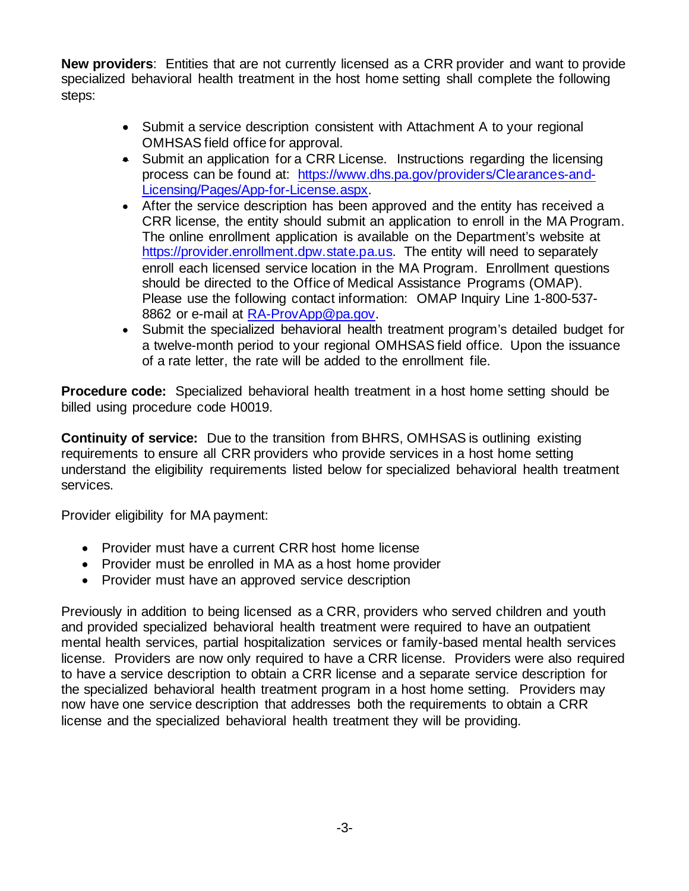**New providers**: Entities that are not currently licensed as a CRR provider and want to provide specialized behavioral health treatment in the host home setting shall complete the following steps:

- Submit a service description consistent with Attachment A to your regional OMHSAS field office for approval.
- Submit an application for a CRR License. Instructions regarding the licensing process can be found at: [https://www.dhs.pa.gov/providers/Clearances-and-](https://www.dhs.pa.gov/providers/Clearances-and-Licensing/Pages/App-for-License.aspx)[Licensing/Pages/App-for-License.aspx.](https://www.dhs.pa.gov/providers/Clearances-and-Licensing/Pages/App-for-License.aspx)
- After the service description has been approved and the entity has received a CRR license, the entity should submit an application to enroll in the MA Program. The online enrollment application is available on the Department's website at [https://provider.enrollment.dpw.state.pa.us.](https://provider.enrollment.dpw.state.pa.us/) The entity will need to separately enroll each licensed service location in the MA Program. Enrollment questions should be directed to the Office of Medical Assistance Programs (OMAP). Please use the following contact information: OMAP Inquiry Line 1-800-537- 8862 or e-mail at [RA-ProvApp@pa.gov.](mailto:RA-ProvApp@pa.gov)
- Submit the specialized behavioral health treatment program's detailed budget for a twelve-month period to your regional OMHSAS field office. Upon the issuance of a rate letter, the rate will be added to the enrollment file.

**Procedure code:** Specialized behavioral health treatment in a host home setting should be billed using procedure code H0019.

**Continuity of service:** Due to the transition from BHRS, OMHSAS is outlining existing requirements to ensure all CRR providers who provide services in a host home setting understand the eligibility requirements listed below for specialized behavioral health treatment services.

Provider eligibility for MA payment:

- Provider must have a current CRR host home license
- Provider must be enrolled in MA as a host home provider
- Provider must have an approved service description

Previously in addition to being licensed as a CRR, providers who served children and youth and provided specialized behavioral health treatment were required to have an outpatient mental health services, partial hospitalization services or family-based mental health services license. Providers are now only required to have a CRR license. Providers were also required to have a service description to obtain a CRR license and a separate service description for the specialized behavioral health treatment program in a host home setting. Providers may now have one service description that addresses both the requirements to obtain a CRR license and the specialized behavioral health treatment they will be providing.